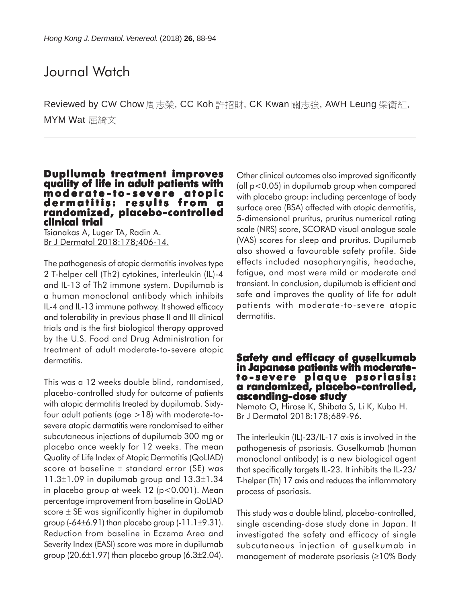## Journal Watch

Reviewed by CW Chow 周志榮, CC Koh 許招財, CK Kwan 關志強, AWH Leung 梁衛紅, MYM Wat 屈綺文

## **Dupilumab treatment improves quality of life in adult patients with moderate -to - severe atopic dermatitis: results from a randomized, placebo-controlled clinical trial**

Tsianakas A, Luger TA, Radin A. Br J Dermatol 2018:178;406-14.

The pathogenesis of atopic dermatitis involves type 2 T-helper cell (Th2) cytokines, interleukin (IL)-4 and IL-13 of Th2 immune system. Dupilumab is a human monoclonal antibody which inhibits IL-4 and IL-13 immune pathway. It showed efficacy and tolerability in previous phase II and III clinical trials and is the first biological therapy approved by the U.S. Food and Drug Administration for treatment of adult moderate-to-severe atopic dermatitis.

This was a 12 weeks double blind, randomised, placebo-controlled study for outcome of patients with atopic dermatitis treated by dupilumab. Sixtyfour adult patients (age >18) with moderate-tosevere atopic dermatitis were randomised to either subcutaneous injections of dupilumab 300 mg or placebo once weekly for 12 weeks. The mean Quality of Life Index of Atopic Dermatitis (QoLIAD) score at baseline ± standard error (SE) was  $11.3\pm1.09$  in dupilumab group and  $13.3\pm1.34$ in placebo group at week 12 (p<0.001). Mean percentage improvement from baseline in QoLIAD score  $\pm$  SE was significantly higher in dupilumab group  $(-64\pm6.91)$  than placebo group  $(-11.1\pm9.31)$ . Reduction from baseline in Eczema Area and Severity Index (EASI) score was more in dupilumab group  $(20.6\pm1.97)$  than placebo group  $(6.3\pm2.04)$ .

Other clinical outcomes also improved significantly (all p<0.05) in dupilumab group when compared with placebo group: including percentage of body surface area (BSA) affected with atopic dermatitis, 5-dimensional pruritus, pruritus numerical rating scale (NRS) score, SCORAD visual analogue scale (VAS) scores for sleep and pruritus. Dupilumab also showed a favourable safety profile. Side effects included nasopharyngitis, headache, fatigue, and most were mild or moderate and transient. In conclusion, dupilumab is efficient and safe and improves the quality of life for adult patients with moderate-to-severe atopic dermatitis.

# **Safety and efficacy of guselkumab in Japanese patients with moderate- to - severe plaque psoriasis: psoriasis: a randomized, placebo-controlled, controlled, ascending-dose study**

Nemoto O, Hirose K, Shibata S, Li K, Kubo H. Br J Dermatol 2018:178;689-96.

The interleukin (IL)-23/IL-17 axis is involved in the pathogenesis of psoriasis. Guselkumab (human monoclonal antibody) is a new biological agent that specifically targets IL-23. It inhibits the IL-23/ T-helper (Th) 17 axis and reduces the inflammatory process of psoriasis.

This study was a double blind, placebo-controlled, single ascending-dose study done in Japan. It investigated the safety and efficacy of single subcutaneous injection of guselkumab in management of moderate psoriasis (≥10% Body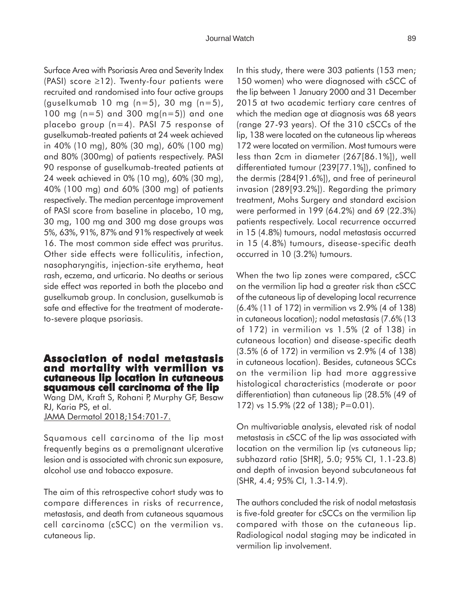Surface Area with Psoriasis Area and Severity Index (PASI) score ≥12). Twenty-four patients were recruited and randomised into four active groups (guselkumab 10 mg (n=5), 30 mg (n=5), 100 mg (n=5) and 300 mg(n=5)) and one placebo group (n=4). PASI 75 response of guselkumab-treated patients at 24 week achieved in 40% (10 mg), 80% (30 mg), 60% (100 mg) and 80% (300mg) of patients respectively. PASI 90 response of guselkumab-treated patients at 24 week achieved in 0% (10 mg), 60% (30 mg), 40% (100 mg) and 60% (300 mg) of patients respectively. The median percentage improvement of PASI score from baseline in placebo, 10 mg, 30 mg, 100 mg and 300 mg dose groups was 5%, 63%, 91%, 87% and 91% respectively at week 16. The most common side effect was pruritus. Other side effects were folliculitis, infection, nasopharyngitis, injection-site erythema, heat rash, eczema, and urticaria. No deaths or serious side effect was reported in both the placebo and guselkumab group. In conclusion, guselkumab is safe and effective for the treatment of moderateto-severe plaque psoriasis.

### **Association of nodal metastasis and mortality with vermilion vs cutaneous lip location in cutaneous squamous cell carcinoma of the lip**

Wang DM, Kraft S, Rohani P, Murphy GF, Besaw RJ, Karia PS, et al. JAMA Dermatol 2018;154:701-7.

Squamous cell carcinoma of the lip most frequently begins as a premalignant ulcerative lesion and is associated with chronic sun exposure, alcohol use and tobacco exposure.

The aim of this retrospective cohort study was to compare differences in risks of recurrence, metastasis, and death from cutaneous squamous cell carcinoma (cSCC) on the vermilion vs. cutaneous lip.

In this study, there were 303 patients (153 men; 150 women) who were diagnosed with cSCC of the lip between 1 January 2000 and 31 December 2015 at two academic tertiary care centres of which the median age at diagnosis was 68 years (range 27-93 years). Of the 310 cSCCs of the lip, 138 were located on the cutaneous lip whereas 172 were located on vermilion. Most tumours were less than 2cm in diameter (267[86.1%]), well differentiated tumour (239[77.1%]), confined to the dermis (284[91.6%]), and free of perineural invasion (289[93.2%]). Regarding the primary treatment, Mohs Surgery and standard excision were performed in 199 (64.2%) and 69 (22.3%) patients respectively. Local recurrence occurred in 15 (4.8%) tumours, nodal metastasis occurred in 15 (4.8%) tumours, disease-specific death occurred in 10 (3.2%) tumours.

When the two lip zones were compared, cSCC on the vermilion lip had a greater risk than cSCC of the cutaneous lip of developing local recurrence (6.4% (11 of 172) in vermilion vs 2.9% (4 of 138) in cutaneous location); nodal metastasis (7.6% (13 of 172) in vermilion vs 1.5% (2 of 138) in cutaneous location) and disease-specific death (3.5% (6 of 172) in vermilion vs 2.9% (4 of 138) in cutaneous location). Besides, cutaneous SCCs on the vermilion lip had more aggressive histological characteristics (moderate or poor differentiation) than cutaneous lip (28.5% (49 of 172) vs 15.9% (22 of 138); P=0.01).

On multivariable analysis, elevated risk of nodal metastasis in cSCC of the lip was associated with location on the vermilion lip (vs cutaneous lip; subhazard ratio [SHR], 5.0; 95% CI, 1.1-23.8) and depth of invasion beyond subcutaneous fat (SHR, 4.4; 95% CI, 1.3-14.9).

The authors concluded the risk of nodal metastasis is five-fold greater for cSCCs on the vermilion lip compared with those on the cutaneous lip. Radiological nodal staging may be indicated in vermilion lip involvement.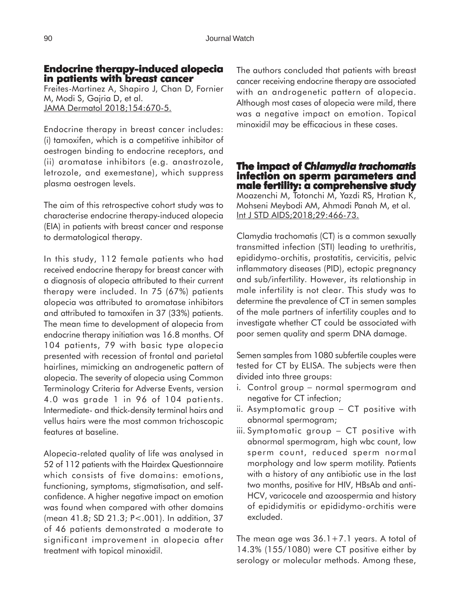# **Endocrine therapy-induced alopecia in patients with breast cancer**

Freites-Martinez A, Shapiro J, Chan D, Fornier M, Modi S, Gajria D, et al. JAMA Dermatol 2018;154:670-5.

Endocrine therapy in breast cancer includes: (i) tamoxifen, which is a competitive inhibitor of oestrogen binding to endocrine receptors, and (ii) aromatase inhibitors (e.g. anastrozole, letrozole, and exemestane), which suppress plasma oestrogen levels.

The aim of this retrospective cohort study was to characterise endocrine therapy-induced alopecia (EIA) in patients with breast cancer and response to dermatological therapy.

In this study, 112 female patients who had received endocrine therapy for breast cancer with a diagnosis of alopecia attributed to their current therapy were included. In 75 (67%) patients alopecia was attributed to aromatase inhibitors and attributed to tamoxifen in 37 (33%) patients. The mean time to development of alopecia from endocrine therapy initiation was 16.8 months. Of 104 patients, 79 with basic type alopecia presented with recession of frontal and parietal hairlines, mimicking an androgenetic pattern of alopecia. The severity of alopecia using Common Terminology Criteria for Adverse Events, version 4.0 was grade 1 in 96 of 104 patients. Intermediate- and thick-density terminal hairs and vellus hairs were the most common trichoscopic features at baseline.

Alopecia-related quality of life was analysed in 52 of 112 patients with the Hairdex Questionnaire which consists of five domains: emotions, functioning, symptoms, stigmatisation, and selfconfidence. A higher negative impact on emotion was found when compared with other domains (mean 41.8; SD 21.3; P<.001). In addition, 37 of 46 patients demonstrated a moderate to significant improvement in alopecia after treatment with topical minoxidil.

The authors concluded that patients with breast cancer receiving endocrine therapy are associated with an androgenetic pattern of alopecia. Although most cases of alopecia were mild, there was a negative impact on emotion. Topical minoxidil may be efficacious in these cases.

**The impact of impact of** *Chlamydia trachomatis* **infection on sperm parameters and male fertility: a comprehensive study** Moazenchi M, Totonchi M, Yazdi RS, Hratian K, Mohseni Meybodi AM, Ahmadi Panah M, et al. Int J STD AIDS;2018;29:466-73.

Clamydia trachomatis (CT) is a common sexually transmitted infection (STI) leading to urethritis, epididymo-orchitis, prostatitis, cervicitis, pelvic inflammatory diseases (PID), ectopic pregnancy and sub/infertility. However, its relationship in male infertility is not clear. This study was to determine the prevalence of CT in semen samples of the male partners of infertility couples and to investigate whether CT could be associated with poor semen quality and sperm DNA damage.

Semen samples from 1080 subfertile couples were tested for CT by ELISA. The subjects were then divided into three groups:

- i. Control group − normal spermogram and negative for CT infection;
- ii. Asymptomatic group − CT positive with abnormal spermogram;
- iii. Symptomatic group − CT positive with abnormal spermogram, high wbc count, low sperm count, reduced sperm normal morphology and low sperm motility. Patients with a history of any antibiotic use in the last two months, positive for HIV, HBsAb and anti-HCV, varicocele and azoospermia and history of epididymitis or epididymo-orchitis were excluded.

The mean age was  $36.1+7.1$  years. A total of 14.3% (155/1080) were CT positive either by serology or molecular methods. Among these,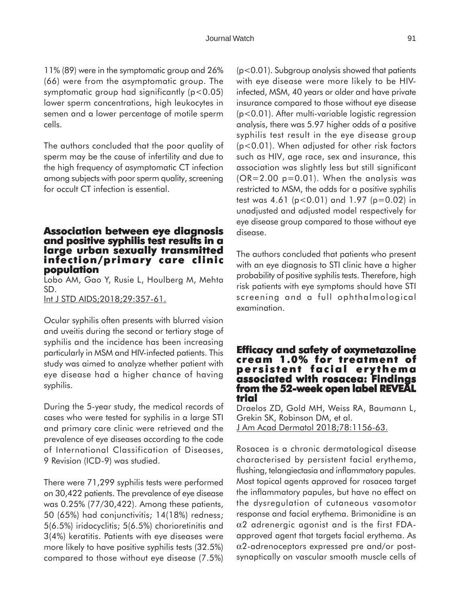11% (89) were in the symptomatic group and 26% (66) were from the asymptomatic group. The symptomatic group had significantly  $(p<0.05)$ lower sperm concentrations, high leukocytes in semen and a lower percentage of motile sperm cells.

The authors concluded that the poor quality of sperm may be the cause of infertility and due to the high frequency of asymptomatic CT infection among subjects with poor sperm quality, screening for occult CT infection is essential.

## **Association between eye diagnosis and positive syphilis test results in a large urban sexually transmitted infection/primary care clinic population**

Lobo AM, Gao Y, Rusie L, Houlberg M, Mehta SD.

Int J STD AIDS;2018;29:357-61.

Ocular syphilis often presents with blurred vision and uveitis during the second or tertiary stage of syphilis and the incidence has been increasing particularly in MSM and HIV-infected patients. This study was aimed to analyze whether patient with eye disease had a higher chance of having syphilis.

During the 5-year study, the medical records of cases who were tested for syphilis in a large STI and primary care clinic were retrieved and the prevalence of eye diseases according to the code of International Classification of Diseases, 9 Revision (ICD-9) was studied.

There were 71,299 syphilis tests were performed on 30,422 patients. The prevalence of eye disease was 0.25% (77/30,422). Among these patients, 50 (65%) had conjunctivitis; 14(18%) redness; 5(6.5%) iridocyclitis; 5(6.5%) chorioretinitis and 3(4%) keratitis. Patients with eye diseases were more likely to have positive syphilis tests (32.5%) compared to those without eye disease (7.5%) (p<0.01). Subgroup analysis showed that patients with eye disease were more likely to be HIVinfected, MSM, 40 years or older and have private insurance compared to those without eye disease (p<0.01). After multi-variable logistic regression analysis, there was 5.97 higher odds of a positive syphilis test result in the eye disease group (p<0.01). When adjusted for other risk factors such as HIV, age race, sex and insurance, this association was slightly less but still significant  $(OR=2.00 p=0.01)$ . When the analysis was restricted to MSM, the odds for a positive syphilis test was 4.61 (p<0.01) and 1.97 (p=0.02) in unadjusted and adjusted model respectively for eye disease group compared to those without eye disease.

The authors concluded that patients who present with an eye diagnosis to STI clinic have a higher probability of positive syphilis tests. Therefore, high risk patients with eye symptoms should have STI screening and a full ophthalmological examination.

## **Efficacy and safety of oxymetazoline cream 1.0% for treatment of treatment of persistent facial erythema associated with rosacea: Findings from the 52-week open label REVEAL trial**

Draelos ZD, Gold MH, Weiss RA, Baumann L, Grekin SK, Robinson DM, et al. J Am Acad Dermatol 2018;78:1156-63.

Rosacea is a chronic dermatological disease characterised by persistent facial erythema, flushing, telangiectasia and inflammatory papules. Most topical agents approved for rosacea target the inflammatory papules, but have no effect on the dysregulation of cutaneous vasomotor response and facial erythema. Brimonidine is an  $\alpha$ 2 adrenergic agonist and is the first FDAapproved agent that targets facial erythema. As α2-adrenoceptors expressed pre and/or postsynaptically on vascular smooth muscle cells of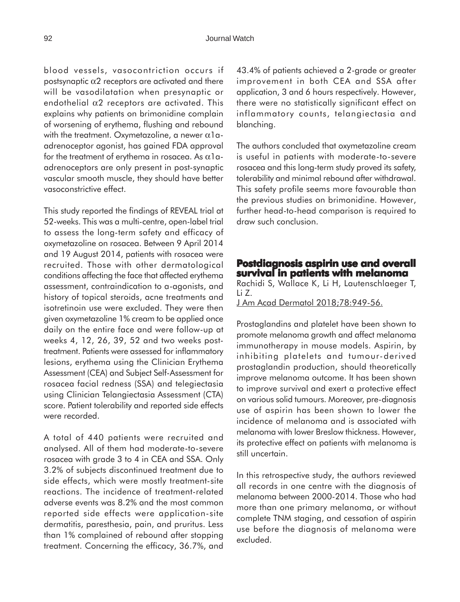blood vessels, vasocontriction occurs if postsynaptic  $\alpha$ 2 receptors are activated and there will be vasodilatation when presynaptic or endothelial  $\alpha$ 2 receptors are activated. This explains why patients on brimonidine complain of worsening of erythema, flushing and rebound with the treatment. Oxymetazoline, a newer  $\alpha$ 1aadrenoceptor agonist, has gained FDA approval for the treatment of erythema in rosacea. As  $\alpha$ 1aadrenoceptors are only present in post-synaptic vascular smooth muscle, they should have better vasoconstrictive effect.

This study reported the findings of REVEAL trial at 52-weeks. This was a multi-centre, open-label trial to assess the long-term safety and efficacy of oxymetazoline on rosacea. Between 9 April 2014 and 19 August 2014, patients with rosacea were recruited. Those with other dermatological conditions affecting the face that affected erythema assessment, contraindication to a-agonists, and history of topical steroids, acne treatments and isotretinoin use were excluded. They were then given oxymetazoline 1% cream to be applied once daily on the entire face and were follow-up at weeks 4, 12, 26, 39, 52 and two weeks posttreatment. Patients were assessed for inflammatory lesions, erythema using the Clinician Erythema Assessment (CEA) and Subject Self-Assessment for rosacea facial redness (SSA) and telegiectasia using Clinician Telangiectasia Assessment (CTA) score. Patient tolerability and reported side effects were recorded.

A total of 440 patients were recruited and analysed. All of them had moderate-to-severe rosacea with grade 3 to 4 in CEA and SSA. Only 3.2% of subjects discontinued treatment due to side effects, which were mostly treatment-site reactions. The incidence of treatment-related adverse events was 8.2% and the most common reported side effects were application-site dermatitis, paresthesia, pain, and pruritus. Less than 1% complained of rebound after stopping treatment. Concerning the efficacy, 36.7%, and

43.4% of patients achieved a 2-grade or greater improvement in both CEA and SSA after application, 3 and 6 hours respectively. However, there were no statistically significant effect on inflammatory counts, telangiectasia and blanching.

The authors concluded that oxymetazoline cream is useful in patients with moderate-to-severe rosacea and this long-term study proved its safety, tolerability and minimal rebound after withdrawal. This safety profile seems more favourable than the previous studies on brimonidine. However, further head-to-head comparison is required to draw such conclusion.

### **Postdiagnosis aspirin use and overall ostdiagnosis aspirin use and overall survival in patients with melanoma**

Rachidi S, Wallace K, Li H, Lautenschlaeger T, Li Z.

J Am Acad Dermatol 2018;78:949-56.

Prostaglandins and platelet have been shown to promote melanoma growth and affect melanoma immunotherapy in mouse models. Aspirin, by inhibiting platelets and tumour-derived prostaglandin production, should theoretically improve melanoma outcome. It has been shown to improve survival and exert a protective effect on various solid tumours. Moreover, pre-diagnosis use of aspirin has been shown to lower the incidence of melanoma and is associated with melanoma with lower Breslow thickness. However, its protective effect on patients with melanoma is still uncertain.

In this retrospective study, the authors reviewed all records in one centre with the diagnosis of melanoma between 2000-2014. Those who had more than one primary melanoma, or without complete TNM staging, and cessation of aspirin use before the diagnosis of melanoma were excluded.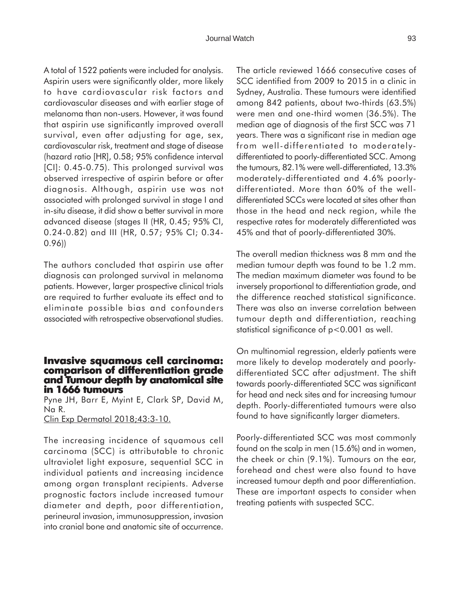A total of 1522 patients were included for analysis. Aspirin users were significantly older, more likely to have cardiovascular risk factors and cardiovascular diseases and with earlier stage of melanoma than non-users. However, it was found that aspirin use significantly improved overall survival, even after adjusting for age, sex, cardiovascular risk, treatment and stage of disease (hazard ratio [HR], 0.58; 95% confidence interval [CI]: 0.45-0.75). This prolonged survival was observed irrespective of aspirin before or after diagnosis. Although, aspirin use was not associated with prolonged survival in stage I and in-situ disease, it did show a better survival in more advanced disease (stages II (HR, 0.45; 95% CI, 0.24-0.82) and III (HR, 0.57; 95% CI; 0.34- 0.96))

The authors concluded that aspirin use after diagnosis can prolonged survival in melanoma patients. However, larger prospective clinical trials are required to further evaluate its effect and to eliminate possible bias and confounders associated with retrospective observational studies.

#### **Invasive squamous cell carcinoma: Invasive comparison of differentiation grade and Tumour depth by anatomical site in 1666 tumours**

Pyne JH, Barr E, Myint E, Clark SP, David M, Na R.

Clin Exp Dermatol 2018;43:3-10.

The increasing incidence of squamous cell carcinoma (SCC) is attributable to chronic ultraviolet light exposure, sequential SCC in individual patients and increasing incidence among organ transplant recipients. Adverse prognostic factors include increased tumour diameter and depth, poor differentiation, perineural invasion, immunosuppression, invasion into cranial bone and anatomic site of occurrence. The article reviewed 1666 consecutive cases of SCC identified from 2009 to 2015 in a clinic in Sydney, Australia. These tumours were identified among 842 patients, about two-thirds (63.5%) were men and one-third women (36.5%). The median age of diagnosis of the first SCC was 71 years. There was a significant rise in median age from well-differentiated to moderatelydifferentiated to poorly-differentiated SCC. Among the tumours, 82.1% were well-differentiated, 13.3% moderately-differentiated and 4.6% poorlydifferentiated. More than 60% of the welldifferentiated SCCs were located at sites other than those in the head and neck region, while the respective rates for moderately differentiated was 45% and that of poorly-differentiated 30%.

The overall median thickness was 8 mm and the median tumour depth was found to be 1.2 mm. The median maximum diameter was found to be inversely proportional to differentiation grade, and the difference reached statistical significance. There was also an inverse correlation between tumour depth and differentiation, reaching statistical significance of p<0.001 as well.

On multinomial regression, elderly patients were more likely to develop moderately and poorlydifferentiated SCC after adjustment. The shift towards poorly-differentiated SCC was significant for head and neck sites and for increasing tumour depth. Poorly-differentiated tumours were also found to have significantly larger diameters.

Poorly-differentiated SCC was most commonly found on the scalp in men (15.6%) and in women, the cheek or chin (9.1%). Tumours on the ear, forehead and chest were also found to have increased tumour depth and poor differentiation. These are important aspects to consider when treating patients with suspected SCC.